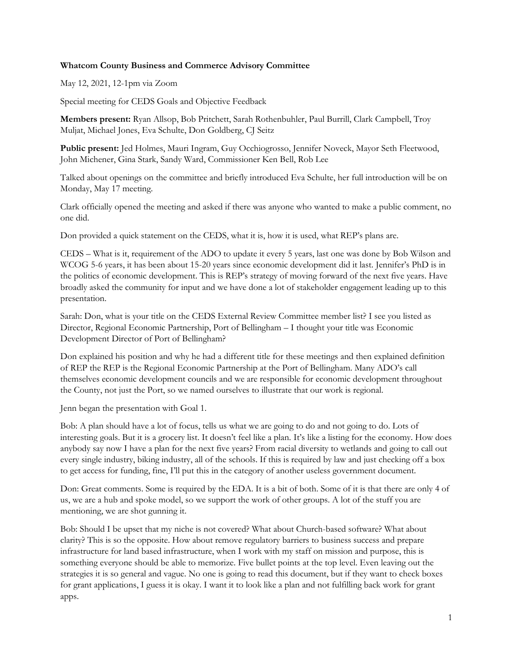## **Whatcom County Business and Commerce Advisory Committee**

May 12, 2021, 12-1pm via Zoom

Special meeting for CEDS Goals and Objective Feedback

**Members present:** Ryan Allsop, Bob Pritchett, Sarah Rothenbuhler, Paul Burrill, Clark Campbell, Troy Muljat, Michael Jones, Eva Schulte, Don Goldberg, CJ Seitz

**Public present:** Jed Holmes, Mauri Ingram, Guy Occhiogrosso, Jennifer Noveck, Mayor Seth Fleetwood, John Michener, Gina Stark, Sandy Ward, Commissioner Ken Bell, Rob Lee

Talked about openings on the committee and briefly introduced Eva Schulte, her full introduction will be on Monday, May 17 meeting.

Clark officially opened the meeting and asked if there was anyone who wanted to make a public comment, no one did.

Don provided a quick statement on the CEDS, what it is, how it is used, what REP's plans are.

CEDS – What is it, requirement of the ADO to update it every 5 years, last one was done by Bob Wilson and WCOG 5-6 years, it has been about 15-20 years since economic development did it last. Jennifer's PhD is in the politics of economic development. This is REP's strategy of moving forward of the next five years. Have broadly asked the community for input and we have done a lot of stakeholder engagement leading up to this presentation.

Sarah: Don, what is your title on the CEDS External Review Committee member list? I see you listed as Director, Regional Economic Partnership, Port of Bellingham – I thought your title was Economic Development Director of Port of Bellingham?

Don explained his position and why he had a different title for these meetings and then explained definition of REP the REP is the Regional Economic Partnership at the Port of Bellingham. Many ADO's call themselves economic development councils and we are responsible for economic development throughout the County, not just the Port, so we named ourselves to illustrate that our work is regional.

Jenn began the presentation with Goal 1.

Bob: A plan should have a lot of focus, tells us what we are going to do and not going to do. Lots of interesting goals. But it is a grocery list. It doesn't feel like a plan. It's like a listing for the economy. How does anybody say now I have a plan for the next five years? From racial diversity to wetlands and going to call out every single industry, biking industry, all of the schools. If this is required by law and just checking off a box to get access for funding, fine, I'll put this in the category of another useless government document.

Don: Great comments. Some is required by the EDA. It is a bit of both. Some of it is that there are only 4 of us, we are a hub and spoke model, so we support the work of other groups. A lot of the stuff you are mentioning, we are shot gunning it.

Bob: Should I be upset that my niche is not covered? What about Church-based software? What about clarity? This is so the opposite. How about remove regulatory barriers to business success and prepare infrastructure for land based infrastructure, when I work with my staff on mission and purpose, this is something everyone should be able to memorize. Five bullet points at the top level. Even leaving out the strategies it is so general and vague. No one is going to read this document, but if they want to check boxes for grant applications, I guess it is okay. I want it to look like a plan and not fulfilling back work for grant apps.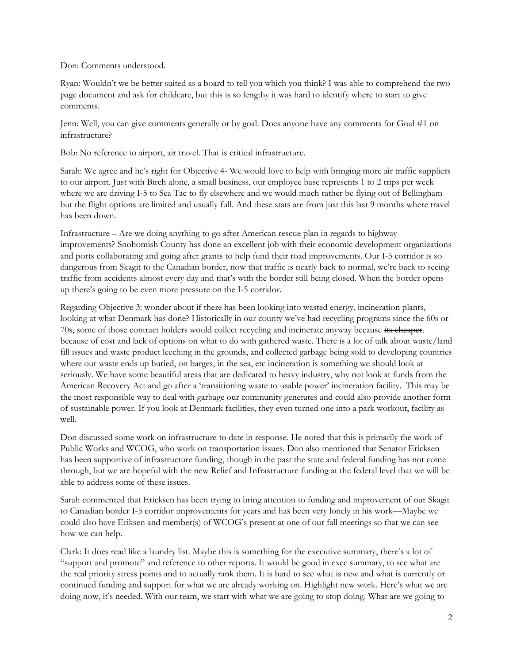Don: Comments understood.

Ryan: Wouldn't we be better suited as a board to tell you which you think? I was able to comprehend the two page document and ask for childcare, but this is so lengthy it was hard to identify where to start to give comments.

Jenn: Well, you can give comments generally or by goal. Does anyone have any comments for Goal #1 on infrastructure?

Bob: No reference to airport, air travel. That is critical infrastructure.

Sarah: We agree and he's right for Objective 4- We would love to help with bringing more air traffic suppliers to our airport. Just with Birch alone, a small business, our employee base represents 1 to 2 trips per week where we are driving I-5 to Sea Tac to fly elsewhere and we would much rather be flying out of Bellingham but the flight options are limited and usually full. And these stats are from just this last 9 months where travel has been down.

Infrastructure – Are we doing anything to go after American rescue plan in regards to highway improvements? Snohomish County has done an excellent job with their economic development organizations and ports collaborating and going after grants to help fund their road improvements. Our I-5 corridor is so dangerous from Skagit to the Canadian border, now that traffic is nearly back to normal, we're back to seeing traffic from accidents almost every day and that's with the border still being closed. When the border opens up there's going to be even more pressure on the I-5 corridor.

Regarding Objective 3: wonder about if there has been looking into wasted energy, incineration plants, looking at what Denmark has done? Historically in our county we've had recycling programs since the 60s or 70s, some of those contract holders would collect recycling and incinerate anyway because its cheaper. because of cost and lack of options on what to do with gathered waste. There is a lot of talk about waste/land fill issues and waste product leeching in the grounds, and collected garbage being sold to developing countries where our waste ends up buried, on barges, in the sea, etc incineration is something we should look at seriously. We have some beautiful areas that are dedicated to heavy industry, why not look at funds from the American Recovery Act and go after a 'transitioning waste to usable power' incineration facility. This may be the most responsible way to deal with garbage our community generates and could also provide another form of sustainable power. If you look at Denmark facilities, they even turned one into a park workout, facility as well.

Don discussed some work on infrastructure to date in response. He noted that this is primarily the work of Public Works and WCOG, who work on transportation issues. Don also mentioned that Senator Ericksen has been supportive of infrastructure funding, though in the past the state and federal funding has not come through, but we are hopeful with the new Relief and Infrastructure funding at the federal level that we will be able to address some of these issues.

Sarah commented that Ericksen has been trying to bring attention to funding and improvement of our Skagit to Canadian border I-5 corridor improvements for years and has been very lonely in his work—Maybe we could also have Eriksen and member(s) of WCOG's present at one of our fall meetings so that we can see how we can help.

Clark: It does read like a laundry list. Maybe this is something for the executive summary, there's a lot of "support and promote" and reference to other reports. It would be good in exec summary, to see what are the real priority stress points and to actually rank them. It is hard to see what is new and what is currently or continued funding and support for what we are already working on. Highlight new work. Here's what we are doing now, it's needed. With our team, we start with what we are going to stop doing. What are we going to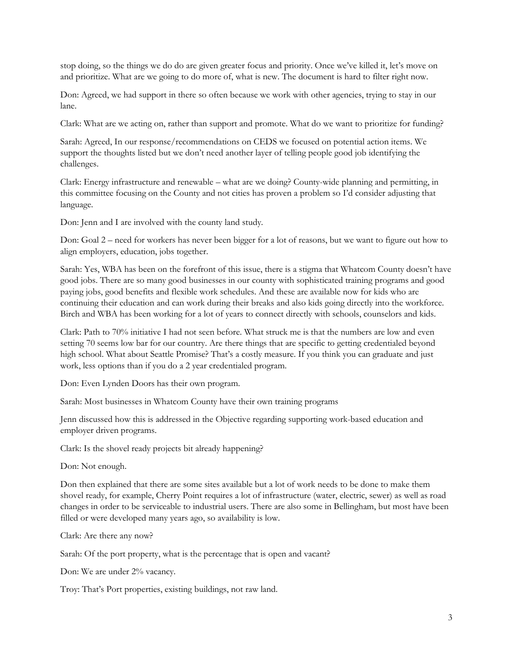stop doing, so the things we do do are given greater focus and priority. Once we've killed it, let's move on and prioritize. What are we going to do more of, what is new. The document is hard to filter right now.

Don: Agreed, we had support in there so often because we work with other agencies, trying to stay in our lane.

Clark: What are we acting on, rather than support and promote. What do we want to prioritize for funding?

Sarah: Agreed, In our response/recommendations on CEDS we focused on potential action items. We support the thoughts listed but we don't need another layer of telling people good job identifying the challenges.

Clark: Energy infrastructure and renewable – what are we doing? County-wide planning and permitting, in this committee focusing on the County and not cities has proven a problem so I'd consider adjusting that language.

Don: Jenn and I are involved with the county land study.

Don: Goal 2 – need for workers has never been bigger for a lot of reasons, but we want to figure out how to align employers, education, jobs together.

Sarah: Yes, WBA has been on the forefront of this issue, there is a stigma that Whatcom County doesn't have good jobs. There are so many good businesses in our county with sophisticated training programs and good paying jobs, good benefits and flexible work schedules. And these are available now for kids who are continuing their education and can work during their breaks and also kids going directly into the workforce. Birch and WBA has been working for a lot of years to connect directly with schools, counselors and kids.

Clark: Path to 70% initiative I had not seen before. What struck me is that the numbers are low and even setting 70 seems low bar for our country. Are there things that are specific to getting credentialed beyond high school. What about Seattle Promise? That's a costly measure. If you think you can graduate and just work, less options than if you do a 2 year credentialed program.

Don: Even Lynden Doors has their own program.

Sarah: Most businesses in Whatcom County have their own training programs

Jenn discussed how this is addressed in the Objective regarding supporting work-based education and employer driven programs.

Clark: Is the shovel ready projects bit already happening?

Don: Not enough.

Don then explained that there are some sites available but a lot of work needs to be done to make them shovel ready, for example, Cherry Point requires a lot of infrastructure (water, electric, sewer) as well as road changes in order to be serviceable to industrial users. There are also some in Bellingham, but most have been filled or were developed many years ago, so availability is low.

Clark: Are there any now?

Sarah: Of the port property, what is the percentage that is open and vacant?

Don: We are under 2% vacancy.

Troy: That's Port properties, existing buildings, not raw land.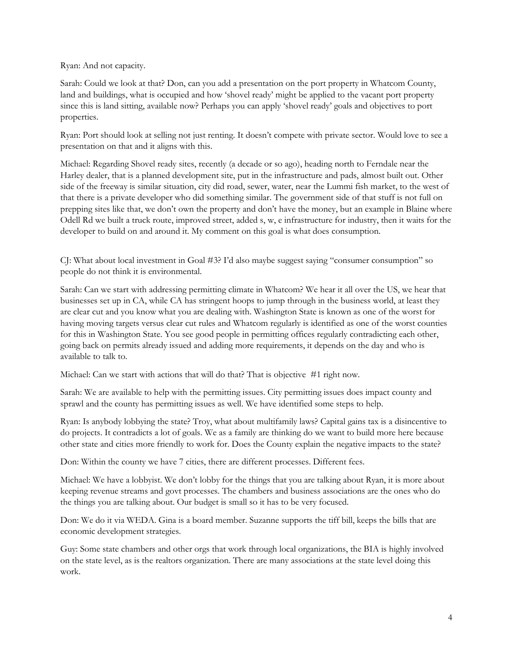Ryan: And not capacity.

Sarah: Could we look at that? Don, can you add a presentation on the port property in Whatcom County, land and buildings, what is occupied and how 'shovel ready' might be applied to the vacant port property since this is land sitting, available now? Perhaps you can apply 'shovel ready' goals and objectives to port properties.

Ryan: Port should look at selling not just renting. It doesn't compete with private sector. Would love to see a presentation on that and it aligns with this.

Michael: Regarding Shovel ready sites, recently (a decade or so ago), heading north to Ferndale near the Harley dealer, that is a planned development site, put in the infrastructure and pads, almost built out. Other side of the freeway is similar situation, city did road, sewer, water, near the Lummi fish market, to the west of that there is a private developer who did something similar. The government side of that stuff is not full on prepping sites like that, we don't own the property and don't have the money, but an example in Blaine where Odell Rd we built a truck route, improved street, added s, w, e infrastructure for industry, then it waits for the developer to build on and around it. My comment on this goal is what does consumption.

CJ: What about local investment in Goal #3? I'd also maybe suggest saying "consumer consumption" so people do not think it is environmental.

Sarah: Can we start with addressing permitting climate in Whatcom? We hear it all over the US, we hear that businesses set up in CA, while CA has stringent hoops to jump through in the business world, at least they are clear cut and you know what you are dealing with. Washington State is known as one of the worst for having moving targets versus clear cut rules and Whatcom regularly is identified as one of the worst counties for this in Washington State. You see good people in permitting offices regularly contradicting each other, going back on permits already issued and adding more requirements, it depends on the day and who is available to talk to.

Michael: Can we start with actions that will do that? That is objective #1 right now.

Sarah: We are available to help with the permitting issues. City permitting issues does impact county and sprawl and the county has permitting issues as well. We have identified some steps to help.

Ryan: Is anybody lobbying the state? Troy, what about multifamily laws? Capital gains tax is a disincentive to do projects. It contradicts a lot of goals. We as a family are thinking do we want to build more here because other state and cities more friendly to work for. Does the County explain the negative impacts to the state?

Don: Within the county we have 7 cities, there are different processes. Different fees.

Michael: We have a lobbyist. We don't lobby for the things that you are talking about Ryan, it is more about keeping revenue streams and govt processes. The chambers and business associations are the ones who do the things you are talking about. Our budget is small so it has to be very focused.

Don: We do it via WEDA. Gina is a board member. Suzanne supports the tiff bill, keeps the bills that are economic development strategies.

Guy: Some state chambers and other orgs that work through local organizations, the BIA is highly involved on the state level, as is the realtors organization. There are many associations at the state level doing this work.